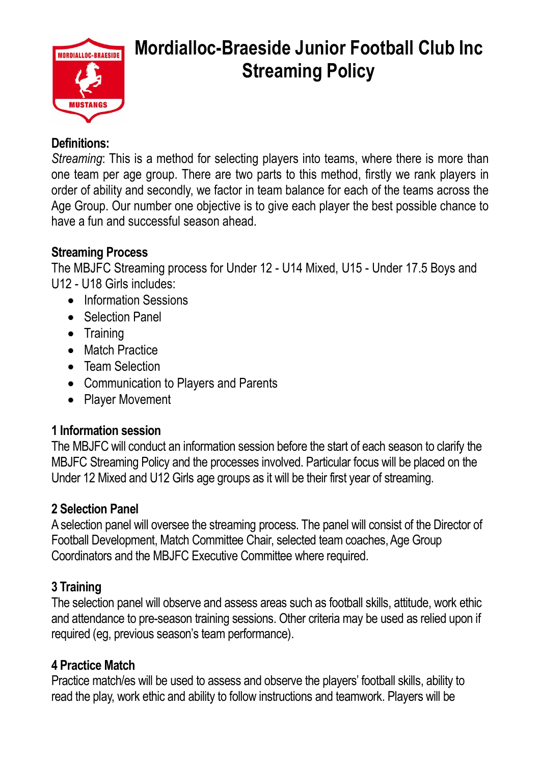

# **Mordialloc-Braeside Junior Football Club Inc Streaming Policy**

#### **Definitions:**

*Streaming*: This is a method for selecting players into teams, where there is more than one team per age group. There are two parts to this method, firstly we rank players in order of ability and secondly, we factor in team balance for each of the teams across the Age Group. Our number one objective is to give each player the best possible chance to have a fun and successful season ahead.

### **Streaming Process**

The MBJFC Streaming process for Under 12 - U14 Mixed, U15 - Under 17.5 Boys and U12 - U18 Girls includes:

- Information Sessions
- Selection Panel
- Training
- Match Practice
- Team Selection
- Communication to Players and Parents
- Player Movement

# **1 Information session**

The MBJFC will conduct an information session before the start of each season to clarify the MBJFC Streaming Policy and the processes involved. Particular focus will be placed on the Under 12 Mixed and U12 Girls age groups as it will be their first year of streaming.

# **2 Selection Panel**

Aselection panel will oversee the streaming process. The panel will consist of the Director of Football Development, Match Committee Chair, selected team coaches, Age Group Coordinators and the MBJFC Executive Committee where required.

# **3 Training**

The selection panel will observe and assess areas such as football skills, attitude, work ethic and attendance to pre-season training sessions. Other criteria may be used as relied upon if required (eg, previous season's team performance).

# **4 Practice Match**

Practice match/es will be used to assess and observe the players' football skills, ability to read the play, work ethic and ability to follow instructions and teamwork. Players will be